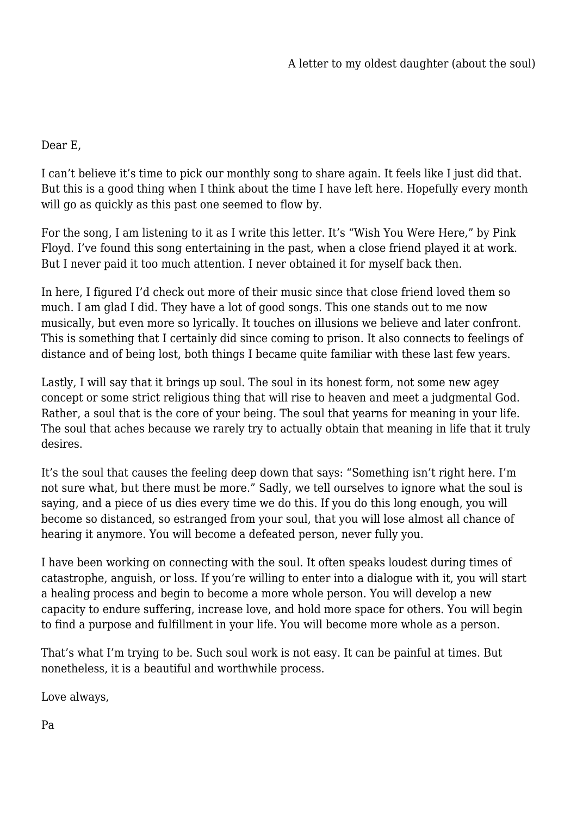Dear E,

I can't believe it's time to pick our monthly song to share again. It feels like I just did that. But this is a good thing when I think about the time I have left here. Hopefully every month will go as quickly as this past one seemed to flow by.

For the song, I am listening to it as I write this letter. It's "Wish You Were Here," by Pink Floyd. I've found this song entertaining in the past, when a close friend played it at work. But I never paid it too much attention. I never obtained it for myself back then.

In here, I figured I'd check out more of their music since that close friend loved them so much. I am glad I did. They have a lot of good songs. This one stands out to me now musically, but even more so lyrically. It touches on illusions we believe and later confront. This is something that I certainly did since coming to prison. It also connects to feelings of distance and of being lost, both things I became quite familiar with these last few years.

Lastly, I will say that it brings up soul. The soul in its honest form, not some new agey concept or some strict religious thing that will rise to heaven and meet a judgmental God. Rather, a soul that is the core of your being. The soul that yearns for meaning in your life. The soul that aches because we rarely try to actually obtain that meaning in life that it truly desires.

It's the soul that causes the feeling deep down that says: "Something isn't right here. I'm not sure what, but there must be more." Sadly, we tell ourselves to ignore what the soul is saying, and a piece of us dies every time we do this. If you do this long enough, you will become so distanced, so estranged from your soul, that you will lose almost all chance of hearing it anymore. You will become a defeated person, never fully you.

I have been working on connecting with the soul. It often speaks loudest during times of catastrophe, anguish, or loss. If you're willing to enter into a dialogue with it, you will start a healing process and begin to become a more whole person. You will develop a new capacity to endure suffering, increase love, and hold more space for others. You will begin to find a purpose and fulfillment in your life. You will become more whole as a person.

That's what I'm trying to be. Such soul work is not easy. It can be painful at times. But nonetheless, it is a beautiful and worthwhile process.

Love always,

Pa